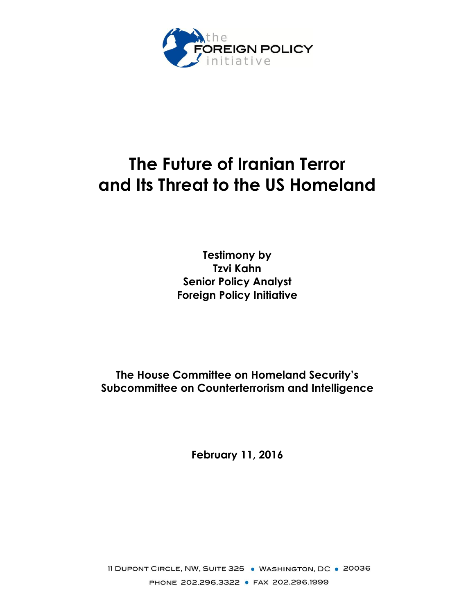

# **The Future of Iranian Terror and Its Threat to the US Homeland**

**Testimony by Tzvi Kahn Senior Policy Analyst Foreign Policy Initiative**

**The House Committee on Homeland Security's Subcommittee on Counterterrorism and Intelligence**

**February 11, 2016**

11 DUPONT CIRCLE, NW, SUITE 325 . WASHINGTON, DC . 20036 PHONE 202.296.3322 · FAX 202.296.1999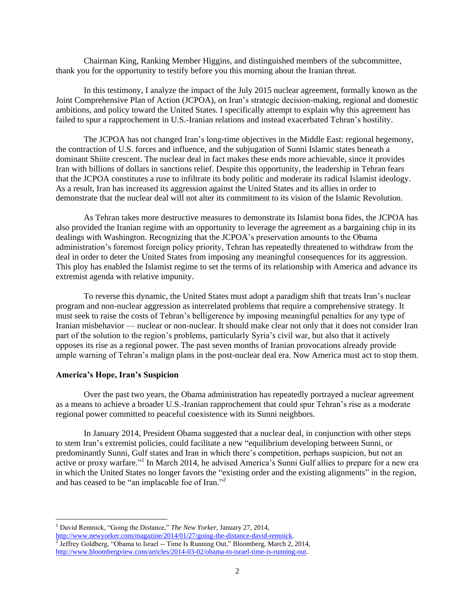Chairman King, Ranking Member Higgins, and distinguished members of the subcommittee, thank you for the opportunity to testify before you this morning about the Iranian threat.

In this testimony, I analyze the impact of the July 2015 nuclear agreement, formally known as the Joint Comprehensive Plan of Action (JCPOA), on Iran's strategic decision-making, regional and domestic ambitions, and policy toward the United States. I specifically attempt to explain why this agreement has failed to spur a rapprochement in U.S.-Iranian relations and instead exacerbated Tehran's hostility.

The JCPOA has not changed Iran's long-time objectives in the Middle East: regional hegemony, the contraction of U.S. forces and influence, and the subjugation of Sunni Islamic states beneath a dominant Shiite crescent. The nuclear deal in fact makes these ends more achievable, since it provides Iran with billions of dollars in sanctions relief. Despite this opportunity, the leadership in Tehran fears that the JCPOA constitutes a ruse to infiltrate its body politic and moderate its radical Islamist ideology. As a result, Iran has increased its aggression against the United States and its allies in order to demonstrate that the nuclear deal will not alter its commitment to its vision of the Islamic Revolution.

As Tehran takes more destructive measures to demonstrate its Islamist bona fides, the JCPOA has also provided the Iranian regime with an opportunity to leverage the agreement as a bargaining chip in its dealings with Washington. Recognizing that the JCPOA's preservation amounts to the Obama administration's foremost foreign policy priority, Tehran has repeatedly threatened to withdraw from the deal in order to deter the United States from imposing any meaningful consequences for its aggression. This ploy has enabled the Islamist regime to set the terms of its relationship with America and advance its extremist agenda with relative impunity.

To reverse this dynamic, the United States must adopt a paradigm shift that treats Iran's nuclear program and non-nuclear aggression as interrelated problems that require a comprehensive strategy. It must seek to raise the costs of Tehran's belligerence by imposing meaningful penalties for any type of Iranian misbehavior — nuclear or non-nuclear. It should make clear not only that it does not consider Iran part of the solution to the region's problems, particularly Syria's civil war, but also that it actively opposes its rise as a regional power. The past seven months of Iranian provocations already provide ample warning of Tehran's malign plans in the post-nuclear deal era. Now America must act to stop them.

## **America's Hope, Iran's Suspicion**

 $\overline{a}$ 

Over the past two years, the Obama administration has repeatedly portrayed a nuclear agreement as a means to achieve a broader U.S.-Iranian rapprochement that could spur Tehran's rise as a moderate regional power committed to peaceful coexistence with its Sunni neighbors.

In January 2014, President Obama suggested that a nuclear deal, in conjunction with other steps to stem Iran's extremist policies, could facilitate a new "equilibrium developing between Sunni, or predominantly Sunni, Gulf states and Iran in which there's competition, perhaps suspicion, but not an active or proxy warfare." 1 In March 2014, he advised America's Sunni Gulf allies to prepare for a new era in which the United States no longer favors the "existing order and the existing alignments" in the region, and has ceased to be "an implacable foe of Iran."<sup>2</sup>

<sup>1</sup> David Remnick, "Going the Distance," *The New Yorker*, January 27, 2014,

[http://www.newyorker.com/magazine/2014/01/27/going-the-distance-david-remnick.](http://www.newyorker.com/magazine/2014/01/27/going-the-distance-david-remnick)<br><sup>2</sup> Jeffrey Goldberg, "Obama to Israel -- Time Is Running Out," Bloomberg, March 2, 2014, [http://www.bloombergview.com/articles/2014-03-02/obama-to-israel-time-is-running-out.](http://www.bloombergview.com/articles/2014-03-02/obama-to-israel-time-is-running-out)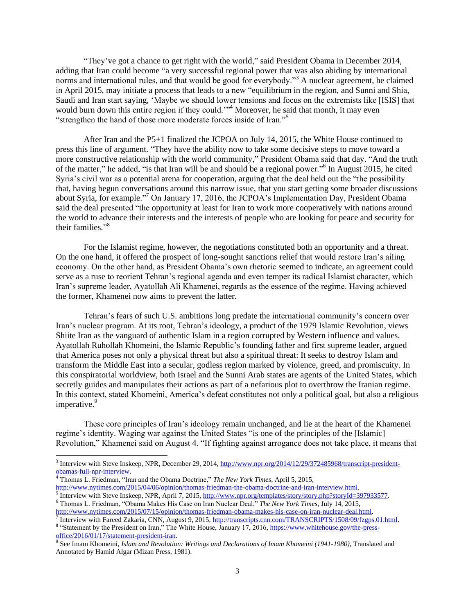"They've got a chance to get right with the world," said President Obama in December 2014, adding that Iran could become "a very successful regional power that was also abiding by international norms and international rules, and that would be good for everybody."<sup>3</sup> A nuclear agreement, he claimed in April 2015, may initiate a process that leads to a new "equilibrium in the region, and Sunni and Shia, Saudi and Iran start saying, 'Maybe we should lower tensions and focus on the extremists like [ISIS] that would burn down this entire region if they could."<sup>4</sup> Moreover, he said that month, it may even "strengthen the hand of those more moderate forces inside of Iran."<sup>5</sup>

After Iran and the P5+1 finalized the JCPOA on July 14, 2015, the White House continued to press this line of argument. "They have the ability now to take some decisive steps to move toward a more constructive relationship with the world community," President Obama said that day. "And the truth of the matter," he added, "is that Iran will be and should be a regional power."<sup>6</sup> In August 2015, he cited Syria's civil war as a potential arena for cooperation, arguing that the deal held out the "the possibility that, having begun conversations around this narrow issue, that you start getting some broader discussions about Syria, for example."<sup>7</sup> On January 17, 2016, the JCPOA's Implementation Day, President Obama said the deal presented "the opportunity at least for Iran to work more cooperatively with nations around the world to advance their interests and the interests of people who are looking for peace and security for their families."<sup>8</sup>

For the Islamist regime, however, the negotiations constituted both an opportunity and a threat. On the one hand, it offered the prospect of long-sought sanctions relief that would restore Iran's ailing economy. On the other hand, as President Obama's own rhetoric seemed to indicate, an agreement could serve as a ruse to reorient Tehran's regional agenda and even temper its radical Islamist character, which Iran's supreme leader, Ayatollah Ali Khamenei, regards as the essence of the regime. Having achieved the former, Khamenei now aims to prevent the latter.

Tehran's fears of such U.S. ambitions long predate the international community's concern over Iran's nuclear program. At its root, Tehran's ideology, a product of the 1979 Islamic Revolution, views Shiite Iran as the vanguard of authentic Islam in a region corrupted by Western influence and values. Ayatollah Ruhollah Khomeini, the Islamic Republic's founding father and first supreme leader, argued that America poses not only a physical threat but also a spiritual threat: It seeks to destroy Islam and transform the Middle East into a secular, godless region marked by violence, greed, and promiscuity. In this conspiratorial worldview, both Israel and the Sunni Arab states are agents of the United States, which secretly guides and manipulates their actions as part of a nefarious plot to overthrow the Iranian regime. In this context, stated Khomeini, America's defeat constitutes not only a political goal, but also a religious imperative.<sup>9</sup>

These core principles of Iran's ideology remain unchanged, and lie at the heart of the Khamenei regime's identity. Waging war against the United States "is one of the principles of the [Islamic] Revolution," Khamenei said on August 4. "If fighting against arrogance does not take place, it means that

 $\overline{a}$ 

<sup>&</sup>lt;sup>3</sup> Interview with Steve Inskeep, NPR, December 29, 2014, [http://www.npr.org/2014/12/29/372485968/transcript-president-](http://www.npr.org/2014/12/29/372485968/transcript-president-obamas-full-npr-interview) $\frac{\text{obamas-full-npr-interview}}{4 \text{Thow}}$ .

<sup>4</sup> Thomas L. Friedman, "Iran and the Obama Doctrine," *The New York Times*, April 5, 2015,

[http://www.nytimes.com/2015/04/06/opinion/thomas-friedman-the-obama-doctrine-and-iran-interview.html.](http://www.nytimes.com/2015/04/06/opinion/thomas-friedman-the-obama-doctrine-and-iran-interview.html)<br><sup>5</sup> Interview with Steve Inskeep, NPR, April 7, 2015, <u>http://www.npr.org/templates/story/story.php?storyId=397933577</u>.

<sup>6</sup> Thomas L. Friedman, "Obama Makes His Case on Iran Nuclear Deal," *The New York Times*, July 14, 2015, http://www.nytimes.com/2015/07/15/opinion/thomas-friedman-obama-makes-his-case-on-iran-nuclear-deal.html<br><sup>7</sup> Interview with Espeed Zekeria, CNN, Ayeust 0, 2015, http://trenserints.com.com/FPANSCPJDTS/1508/00/fazere

Interview with Fareed Zakaria, CNN, August 9, 2015, [http://transcripts.cnn.com/TRANSCRIPTS/1508/09/fzgps.01.html.](http://transcripts.cnn.com/TRANSCRIPTS/1508/09/fzgps.01.html) <sup>8</sup> "Statement by the President on Iran," The White House, January 17, 2016, [https://www.whitehouse.gov/the-press-](https://www.whitehouse.gov/the-press-office/2016/01/17/statement-president-iran)

[office/2016/01/17/statement-president-iran.](https://www.whitehouse.gov/the-press-office/2016/01/17/statement-president-iran) 9 See Imam Khomeini, *Islam and Revolution: Writings and Declarations of Imam Khomeini (1941-1980)*, Translated and Annotated by Hamid Algar (Mizan Press, 1981).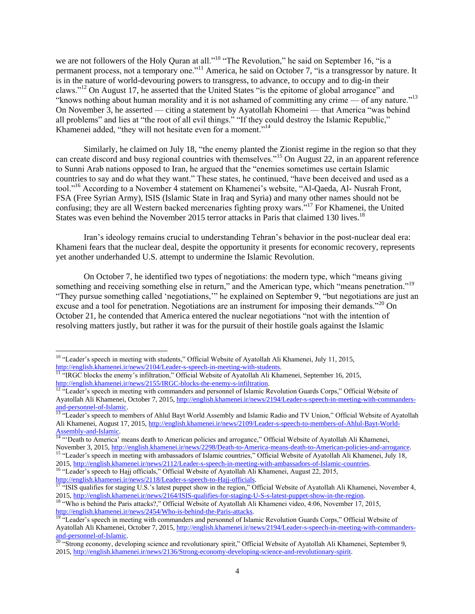we are not followers of the Holy Quran at all."<sup>10</sup> "The Revolution," he said on September 16, "is a permanent process, not a temporary one."<sup>11</sup> America, he said on October 7, "is a transgressor by nature. It is in the nature of world-devouring powers to transgress, to advance, to occupy and to dig-in their claws."<sup>12</sup> On August 17, he asserted that the United States "is the epitome of global arrogance" and "knows nothing about human morality and it is not ashamed of committing any crime — of any nature."<sup>13</sup> On November 3, he asserted — citing a statement by Ayatollah Khomeini — that America "was behind all problems" and lies at "the root of all evil things." "If they could destroy the Islamic Republic," Khamenei added, "they will not hesitate even for a moment."<sup>14</sup>

Similarly, he claimed on July 18, "the enemy planted the Zionist regime in the region so that they can create discord and busy regional countries with themselves."<sup>15</sup> On August 22, in an apparent reference to Sunni Arab nations opposed to Iran, he argued that the "enemies sometimes use certain Islamic countries to say and do what they want." These states, he continued, "have been deceived and used as a tool."<sup>16</sup> According to a November 4 statement on Khamenei's website, "Al-Qaeda, Al- Nusrah Front, FSA (Free Syrian Army), ISIS (Islamic State in Iraq and Syria) and many other names should not be confusing; they are all Western backed mercenaries fighting proxy wars."<sup>17</sup> For Khamenei, the United States was even behind the November 2015 terror attacks in Paris that claimed 130 lives.<sup>18</sup>

Iran's ideology remains crucial to understanding Tehran's behavior in the post-nuclear deal era: Khameni fears that the nuclear deal, despite the opportunity it presents for economic recovery, represents yet another underhanded U.S. attempt to undermine the Islamic Revolution.

On October 7, he identified two types of negotiations: the modern type, which "means giving something and receiving something else in return," and the American type, which "means penetration."<sup>19</sup> "They pursue something called 'negotiations,'" he explained on September 9, "but negotiations are just an excuse and a tool for penetration. Negotiations are an instrument for imposing their demands."<sup>20</sup> On October 21, he contended that America entered the nuclear negotiations "not with the intention of resolving matters justly, but rather it was for the pursuit of their hostile goals against the Islamic

 $\overline{a}$ 

<sup>&</sup>lt;sup>10</sup> "Leader's speech in meeting with students," Official Website of Ayatollah Ali Khamenei, July 11, 2015, [http://english.khamenei.ir/news/2104/Leader-s-speech-in-meeting-with-students.](http://english.khamenei.ir/news/2104/Leader-s-speech-in-meeting-with-students)

<sup>&</sup>lt;sup>11 "</sup>IRGC blocks the enemy's infiltration," Official Website of Ayatollah Ali Khamenei, September 16, 2015, [http://english.khamenei.ir/news/2155/IRGC-blocks-the-enemy-s-infiltration.](http://english.khamenei.ir/news/2155/IRGC-blocks-the-enemy-s-infiltration)

<sup>&</sup>lt;sup>12 "</sup>Leader's speech in meeting with commanders and personnel of Islamic Revolution Guards Corps," Official Website of Ayatollah Ali Khamenei, October 7, 2015[, http://english.khamenei.ir/news/2194/Leader-s-speech-in-meeting-with-commanders](http://english.khamenei.ir/news/2194/Leader-s-speech-in-meeting-with-commanders-and-personnel-of-Islamic)[and-personnel-of-Islamic.](http://english.khamenei.ir/news/2194/Leader-s-speech-in-meeting-with-commanders-and-personnel-of-Islamic)

<sup>&</sup>lt;sup>13</sup> "Leader's speech to members of Ahlul Bayt World Assembly and Islamic Radio and TV Union," Official Website of Ayatollah Ali Khamenei, August 17, 2015[, http://english.khamenei.ir/news/2109/Leader-s-speech-to-members-of-Ahlul-Bayt-World-](http://english.khamenei.ir/news/2109/Leader-s-speech-to-members-of-Ahlul-Bayt-World-Assembly-and-Islamic)[Assembly-and-Islamic.](http://english.khamenei.ir/news/2109/Leader-s-speech-to-members-of-Ahlul-Bayt-World-Assembly-and-Islamic)

<sup>&</sup>lt;sup>14</sup> "Death to America' means death to American policies and arrogance," Official Website of Ayatollah Ali Khamenei, November 3, 2015[, http://english.khamenei.ir/news/2298/Death-to-America-means-death-to-American-policies-and-arrogance.](http://english.khamenei.ir/news/2298/Death-to-America-means-death-to-American-policies-and-arrogance) <sup>15</sup> "Leader's speech in meeting with ambassadors of Islamic countries," Official Website of Ayatollah Ali Khamenei, July 18,

<sup>2015</sup>[, http://english.khamenei.ir/news/2112/Leader-s-speech-in-meeting-with-ambassadors-of-Islamic-countries.](http://english.khamenei.ir/news/2112/Leader-s-speech-in-meeting-with-ambassadors-of-Islamic-countries) <sup>16</sup> "Leader's speech to Hajj officials," Official Website of Ayatollah Ali Khamenei, August 22, 2015,

[http://english.khamenei.ir/news/2118/Leader-s-speech-to-Hajj-officials.](http://english.khamenei.ir/news/2118/Leader-s-speech-to-Hajj-officials)

<sup>&</sup>lt;sup>17</sup> "ISIS qualifies for staging U.S.'s latest puppet show in the region," Official Website of Ayatollah Ali Khamenei, November 4, 2015[, http://english.khamenei.ir/news/2164/ISIS-qualifies-for-staging-U-S-s-latest-puppet-show-in-the-region.](http://english.khamenei.ir/news/2164/ISIS-qualifies-for-staging-U-S-s-latest-puppet-show-in-the-region)

<sup>&</sup>lt;sup>18</sup> "Who is behind the Paris attacks?," Official Website of Ayatollah Ali Khamenei video, 4:06, November 17, 2015, [http://english.khamenei.ir/news/2454/Who-is-behind-the-Paris-attacks.](http://english.khamenei.ir/news/2454/Who-is-behind-the-Paris-attacks)

<sup>&</sup>lt;sup>19 "</sup>Leader's speech in meeting with commanders and personnel of Islamic Revolution Guards Corps," Official Website of Ayatollah Ali Khamenei, October 7, 2015[, http://english.khamenei.ir/news/2194/Leader-s-speech-in-meeting-with-commanders](http://english.khamenei.ir/news/2194/Leader-s-speech-in-meeting-with-commanders-and-personnel-of-Islamic)[and-personnel-of-Islamic.](http://english.khamenei.ir/news/2194/Leader-s-speech-in-meeting-with-commanders-and-personnel-of-Islamic)

<sup>&</sup>lt;sup>20</sup> "Strong economy, developing science and revolutionary spirit," Official Website of Ayatollah Ali Khamenei, September 9, 2015[, http://english.khamenei.ir/news/2136/Strong-economy-developing-science-and-revolutionary-spirit.](http://english.khamenei.ir/news/2136/Strong-economy-developing-science-and-revolutionary-spirit)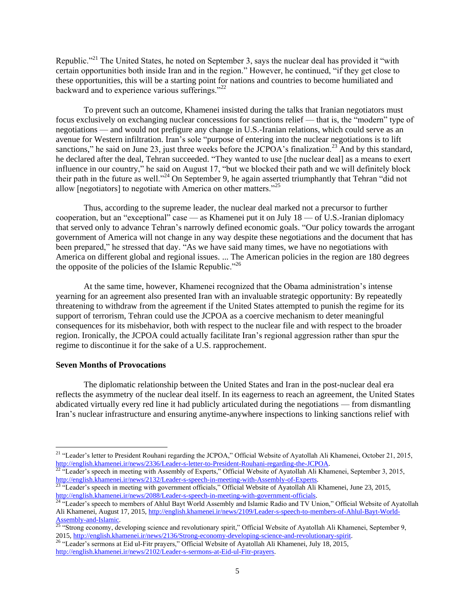Republic."<sup>21</sup> The United States, he noted on September 3, says the nuclear deal has provided it "with certain opportunities both inside Iran and in the region." However, he continued, "if they get close to these opportunities, this will be a starting point for nations and countries to become humiliated and backward and to experience various sufferings."<sup>22</sup>

To prevent such an outcome, Khamenei insisted during the talks that Iranian negotiators must focus exclusively on exchanging nuclear concessions for sanctions relief — that is, the "modern" type of negotiations — and would not prefigure any change in U.S.-Iranian relations, which could serve as an avenue for Western infiltration. Iran's sole "purpose of entering into the nuclear negotiations is to lift sanctions," he said on June 23, just three weeks before the JCPOA's finalization.<sup>23</sup> And by this standard, he declared after the deal, Tehran succeeded. "They wanted to use [the nuclear deal] as a means to exert influence in our country," he said on August 17, "but we blocked their path and we will definitely block their path in the future as well."<sup>24</sup> On September 9, he again asserted triumphantly that Tehran "did not allow  $[negotiators]$  to negotiate with America on other matters.<sup>225</sup>

Thus, according to the supreme leader, the nuclear deal marked not a precursor to further cooperation, but an "exceptional" case — as Khamenei put it on July 18 — of U.S.-Iranian diplomacy that served only to advance Tehran's narrowly defined economic goals. "Our policy towards the arrogant government of America will not change in any way despite these negotiations and the document that has been prepared," he stressed that day. "As we have said many times, we have no negotiations with America on different global and regional issues. ... The American policies in the region are 180 degrees the opposite of the policies of the Islamic Republic."<sup>26</sup>

At the same time, however, Khamenei recognized that the Obama administration's intense yearning for an agreement also presented Iran with an invaluable strategic opportunity: By repeatedly threatening to withdraw from the agreement if the United States attempted to punish the regime for its support of terrorism, Tehran could use the JCPOA as a coercive mechanism to deter meaningful consequences for its misbehavior, both with respect to the nuclear file and with respect to the broader region. Ironically, the JCPOA could actually facilitate Iran's regional aggression rather than spur the regime to discontinue it for the sake of a U.S. rapprochement.

## **Seven Months of Provocations**

 $\overline{a}$ 

The diplomatic relationship between the United States and Iran in the post-nuclear deal era reflects the asymmetry of the nuclear deal itself. In its eagerness to reach an agreement, the United States abdicated virtually every red line it had publicly articulated during the negotiations — from dismantling Iran's nuclear infrastructure and ensuring anytime-anywhere inspections to linking sanctions relief with

<sup>&</sup>lt;sup>21</sup> "Leader's letter to President Rouhani regarding the JCPOA," Official Website of Ayatollah Ali Khamenei, October 21, 2015, [http://english.khamenei.ir/news/2336/Leader-s-letter-to-President-Rouhani-regarding-the-JCPOA.](http://english.khamenei.ir/news/2336/Leader-s-letter-to-President-Rouhani-regarding-the-JCPOA)

 $^{22}$  "Leader's speech in meeting with Assembly of Experts," Official Website of Ayatollah Ali Khamenei, September 3, 2015, [http://english.khamenei.ir/news/2132/Leader-s-speech-in-meeting-with-Assembly-of-Experts.](http://english.khamenei.ir/news/2132/Leader-s-speech-in-meeting-with-Assembly-of-Experts)

 $^{23}$  "Leader's speech in meeting with government officials," Official Website of Ayatollah Ali Khamenei, June 23, 2015, [http://english.khamenei.ir/news/2088/Leader-s-speech-in-meeting-with-government-officials.](http://english.khamenei.ir/news/2088/Leader-s-speech-in-meeting-with-government-officials)

<sup>&</sup>lt;sup>24 "</sup>Leader's speech to members of Ahlul Bayt World Assembly and Islamic Radio and TV Union," Official Website of Ayatollah Ali Khamenei, August 17, 2015[, http://english.khamenei.ir/news/2109/Leader-s-speech-to-members-of-Ahlul-Bayt-World-](http://english.khamenei.ir/news/2109/Leader-s-speech-to-members-of-Ahlul-Bayt-World-Assembly-and-Islamic)[Assembly-and-Islamic.](http://english.khamenei.ir/news/2109/Leader-s-speech-to-members-of-Ahlul-Bayt-World-Assembly-and-Islamic)

<sup>&</sup>lt;sup>25</sup> "Strong economy, developing science and revolutionary spirit," Official Website of Ayatollah Ali Khamenei, September 9, 2015[, http://english.khamenei.ir/news/2136/Strong-economy-developing-science-and-revolutionary-spirit.](http://english.khamenei.ir/news/2136/Strong-economy-developing-science-and-revolutionary-spirit)

<sup>&</sup>lt;sup>26</sup> "Leader's sermons at Eid ul-Fitr prayers," Official Website of Ayatollah Ali Khamenei, July 18, 2015, [http://english.khamenei.ir/news/2102/Leader-s-sermons-at-Eid-ul-Fitr-prayers.](http://english.khamenei.ir/news/2102/Leader-s-sermons-at-Eid-ul-Fitr-prayers)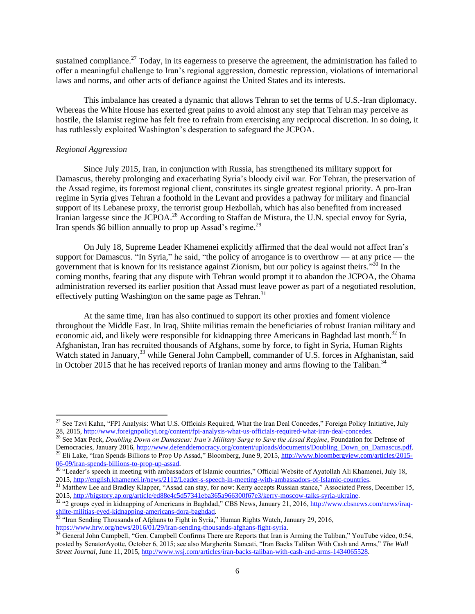sustained compliance.<sup>27</sup> Today, in its eagerness to preserve the agreement, the administration has failed to offer a meaningful challenge to Iran's regional aggression, domestic repression, violations of international laws and norms, and other acts of defiance against the United States and its interests.

This imbalance has created a dynamic that allows Tehran to set the terms of U.S.-Iran diplomacy. Whereas the White House has exerted great pains to avoid almost any step that Tehran may perceive as hostile, the Islamist regime has felt free to refrain from exercising any reciprocal discretion. In so doing, it has ruthlessly exploited Washington's desperation to safeguard the JCPOA.

## *Regional Aggression*

 $\overline{a}$ 

Since July 2015, Iran, in conjunction with Russia, has strengthened its military support for Damascus, thereby prolonging and exacerbating Syria's bloody civil war. For Tehran, the preservation of the Assad regime, its foremost regional client, constitutes its single greatest regional priority. A pro-Iran regime in Syria gives Tehran a foothold in the Levant and provides a pathway for military and financial support of its Lebanese proxy, the terrorist group Hezbollah, which has also benefited from increased Iranian largesse since the JCPOA.<sup>28</sup> According to Staffan de Mistura, the U.N. special envoy for Syria, Iran spends \$6 billion annually to prop up Assad's regime.<sup>29</sup>

On July 18, Supreme Leader Khamenei explicitly affirmed that the deal would not affect Iran's support for Damascus. "In Syria," he said, "the policy of arrogance is to overthrow — at any price — the government that is known for its resistance against Zionism, but our policy is against theirs."<sup>30</sup> In the coming months, fearing that any dispute with Tehran would prompt it to abandon the JCPOA, the Obama administration reversed its earlier position that Assad must leave power as part of a negotiated resolution, effectively putting Washington on the same page as Tehran.<sup>31</sup>

At the same time, Iran has also continued to support its other proxies and foment violence throughout the Middle East. In Iraq, Shiite militias remain the beneficiaries of robust Iranian military and economic aid, and likely were responsible for kidnapping three Americans in Baghdad last month.<sup>32</sup> In Afghanistan, Iran has recruited thousands of Afghans, some by force, to fight in Syria, Human Rights Watch stated in January,<sup>33</sup> while General John Campbell, commander of U.S. forces in Afghanistan, said in October 2015 that he has received reports of Iranian money and arms flowing to the Taliban.<sup>34</sup>

<sup>&</sup>lt;sup>27</sup> See Tzvi Kahn, "FPI Analysis: What U.S. Officials Required, What the Iran Deal Concedes," Foreign Policy Initiative, July 28, 2015, [http://www.foreignpolicyi.org/content/fpi-analysis-what-us-officials-required-what-iran-deal-concedes.](http://www.foreignpolicyi.org/content/fpi-analysis-what-us-officials-required-what-iran-deal-concedes)

<sup>28</sup> See Max Peck, *Doubling Down on Damascus: Iran's Military Surge to Save the Assad Regime*, Foundation for Defense of Democracies, January 2016, [http://www.defenddemocracy.org/content/uploads/documents/Doubling\\_Down\\_on\\_Damascus.pdf.](http://www.defenddemocracy.org/content/uploads/documents/Doubling_Down_on_Damascus.pdf) <sup>29</sup> Eli Lake, "Iran Spends Billions to Prop Up Assad," Bloomberg, June 9, 2015,  $\frac{http://www.bloombergview.com/articles/2015-1015}{http://www.bloombergview.com/articles/2015-1015}$ [06-09/iran-spends-billions-to-prop-up-assad.](http://www.bloombergview.com/articles/2015-06-09/iran-spends-billions-to-prop-up-assad)

<sup>&</sup>lt;sup>30</sup> "Leader's speech in meeting with ambassadors of Islamic countries," Official Website of Ayatollah Ali Khamenei, July 18, 2015[, http://english.khamenei.ir/news/2112/Leader-s-speech-in-meeting-with-ambassadors-of-Islamic-countries.](http://english.khamenei.ir/news/2112/Leader-s-speech-in-meeting-with-ambassadors-of-Islamic-countries)

<sup>&</sup>lt;sup>31</sup> Matthew Lee and Bradley Klapper, "Assad can stay, for now: Kerry accepts Russian stance," Associated Press, December 15, 2015[, http://bigstory.ap.org/article/ed88e4c5d57341eba365a966300f67e3/kerry-moscow-talks-syria-ukraine.](http://bigstory.ap.org/article/ed88e4c5d57341eba365a966300f67e3/kerry-moscow-talks-syria-ukraine)

<sup>&</sup>lt;sup>32</sup> "2 groups eyed in kidnapping of Americans in Baghdad," CBS News, January 21, 2016, [http://www.cbsnews.com/news/iraq](http://www.cbsnews.com/news/iraq-shiite-militias-eyed-kidnapping-americans-dora-baghdad/)[shiite-militias-eyed-kidnapping-americans-dora-baghdad.](http://www.cbsnews.com/news/iraq-shiite-militias-eyed-kidnapping-americans-dora-baghdad/)

<sup>&</sup>lt;sup>33</sup> "Iran Sending Thousands of Afghans to Fight in Syria," Human Rights Watch, January 29, 2016, [https://www.hrw.org/news/2016/01/29/iran-sending-thousands-afghans-fight-syria.](https://www.hrw.org/news/2016/01/29/iran-sending-thousands-afghans-fight-syria)

<sup>&</sup>lt;sup>34</sup> General John Campbell, "Gen. Campbell Confirms There are Reports that Iran is Arming the Taliban," YouTube video, 0:54, posted by SenatorAyotte, October 6, 2015; see also Margherita Stancati, "Iran Backs Taliban With Cash and Arms," *The Wall Street Journal*, June 11, 2015[, http://www.wsj.com/articles/iran-backs-taliban-with-cash-and-arms-1434065528.](http://www.wsj.com/articles/iran-backs-taliban-with-cash-and-arms-1434065528)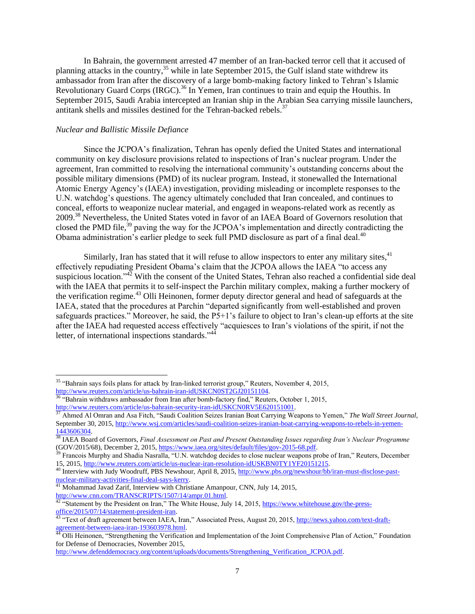In Bahrain, the government arrested 47 member of an Iran-backed terror cell that it accused of planning attacks in the country,  $35$  while in late September 2015, the Gulf island state withdrew its ambassador from Iran after the discovery of a large bomb-making factory linked to Tehran's Islamic Revolutionary Guard Corps (IRGC).<sup>36</sup> In Yemen, Iran continues to train and equip the Houthis. In September 2015, Saudi Arabia intercepted an Iranian ship in the Arabian Sea carrying missile launchers, antitank shells and missiles destined for the Tehran-backed rebels.<sup>37</sup>

## *Nuclear and Ballistic Missile Defiance*

 $\overline{a}$ 

Since the JCPOA's finalization, Tehran has openly defied the United States and international community on key disclosure provisions related to inspections of Iran's nuclear program. Under the agreement, Iran committed to resolving the international community's outstanding concerns about the possible military dimensions (PMD) of its nuclear program. Instead, it stonewalled the International Atomic Energy Agency's (IAEA) investigation, providing misleading or incomplete responses to the U.N. watchdog's questions. The agency ultimately concluded that Iran concealed, and continues to conceal, efforts to weaponize nuclear material, and engaged in weapons-related work as recently as 2009.<sup>38</sup> Nevertheless, the United States voted in favor of an IAEA Board of Governors resolution that closed the PMD file,<sup>39</sup> paving the way for the JCPOA's implementation and directly contradicting the Obama administration's earlier pledge to seek full PMD disclosure as part of a final deal.<sup>40</sup>

Similarly, Iran has stated that it will refuse to allow inspectors to enter any military sites,<sup>41</sup> effectively repudiating President Obama's claim that the JCPOA allows the IAEA "to access any suspicious location." $4\overline{2}$  With the consent of the United States, Tehran also reached a confidential side deal with the IAEA that permits it to self-inspect the Parchin military complex, making a further mockery of the verification regime.<sup>43</sup> Olli Heinonen, former deputy director general and head of safeguards at the IAEA, stated that the procedures at Parchin "departed significantly from well-established and proven safeguards practices." Moreover, he said, the P5+1's failure to object to Iran's clean-up efforts at the site after the IAEA had requested access effectively "acquiesces to Iran's violations of the spirit, if not the letter, of international inspections standards."<sup>44</sup>

<sup>&</sup>lt;sup>35</sup> "Bahrain says foils plans for attack by Iran-linked terrorist group," Reuters, November 4, 2015, [http://www.reuters.com/article/us-bahrain-iran-idUSKCN0ST2GJ20151104.](http://www.reuters.com/article/us-bahrain-iran-idUSKCN0ST2GJ20151104)

<sup>36</sup> "Bahrain withdraws ambassador from Iran after bomb-factory find," Reuters, October 1, 2015, [http://www.reuters.com/article/us-bahrain-security-iran-idUSKCN0RV5E620151001.](http://www.reuters.com/article/us-bahrain-security-iran-idUSKCN0RV5E620151001)

<sup>37</sup> Ahmed Al Omran and Asa Fitch, "Saudi Coalition Seizes Iranian Boat Carrying Weapons to Yemen," *The Wall Street Journal*, September 30, 2015[, http://www.wsj.com/articles/saudi-coalition-seizes-iranian-boat-carrying-weapons-to-rebels-in-yemen-](http://www.wsj.com/articles/saudi-coalition-seizes-iranian-boat-carrying-weapons-to-rebels-in-yemen-1443606304) $\frac{1443606304}{38111}$ 

<sup>38</sup> IAEA Board of Governors, *Final Assessment on Past and Present Outstanding Issues regarding Iran's Nuclear Programme* (GOV/2015/68), December 2, 2015[, https://www.iaea.org/sites/default/files/gov-2015-68.pdf.](https://www.iaea.org/sites/default/files/gov-2015-68.pdf)

<sup>&</sup>lt;sup>39</sup> Francois Murphy and Shadia Nasralla, "U.N. watchdog decides to close nuclear weapons probe of Iran," Reuters, December 15, 2015, [http://www.reuters.com/article/us-nuclear-iran-resolution-idUSKBN0TY1YF20151215.](http://www.reuters.com/article/us-nuclear-iran-resolution-idUSKBN0TY1YF20151215)

<sup>&</sup>lt;sup>40</sup> Interview with Judy Woodruff, PBS Newshour, April 8, 2015, [http://www.pbs.org/newshour/bb/iran-must-disclose-past](http://www.pbs.org/newshour/bb/iran-must-disclose-past-nuclear-military-activities-final-deal-says-kerry/)[nuclear-military-activities-final-deal-says-kerry.](http://www.pbs.org/newshour/bb/iran-must-disclose-past-nuclear-military-activities-final-deal-says-kerry/)

Mohammad Javad Zarif, Interview with Christiane Amanpour, CNN, July 14, 2015, [http://www.cnn.com/TRANSCRIPTS/1507/14/ampr.01.html.](http://www.cnn.com/TRANSCRIPTS/1507/14/ampr.01.html)

<sup>&</sup>lt;sup>42 "</sup>Statement by the President on Iran," The White House, July 14, 2015, [https://www.whitehouse.gov/the-press](https://www.whitehouse.gov/the-press-office/2015/07/14/statement-president-iran)[office/2015/07/14/statement-president-iran.](https://www.whitehouse.gov/the-press-office/2015/07/14/statement-president-iran)

<sup>&</sup>lt;sup>43</sup> "Text of draft agreement between IAEA, Iran," Associated Press, August 20, 2015, [http://news.yahoo.com/text-draft](http://news.yahoo.com/text-draft-agreement-between-iaea-iran-193603978.html)[agreement-between-iaea-iran-193603978.html.](http://news.yahoo.com/text-draft-agreement-between-iaea-iran-193603978.html)

<sup>&</sup>lt;sup>44</sup> Olli Heinonen, "Strengthening the Verification and Implementation of the Joint Comprehensive Plan of Action," Foundation for Defense of Democracies, November 2015,

[http://www.defenddemocracy.org/content/uploads/documents/Strengthening\\_Verification\\_JCPOA.pdf.](http://www.defenddemocracy.org/content/uploads/documents/Strengthening_Verification_JCPOA.pdf)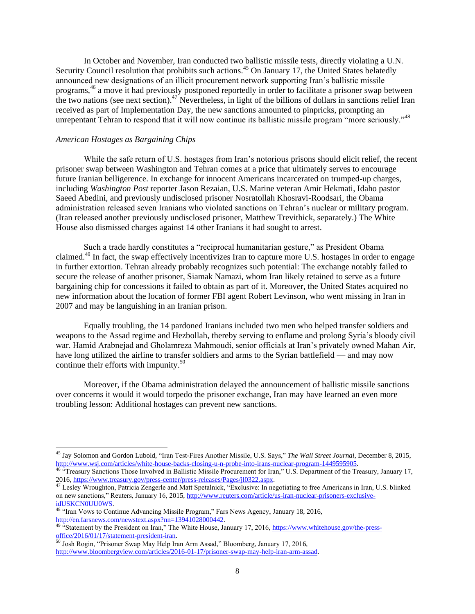In October and November, Iran conducted two ballistic missile tests, directly violating a U.N. Security Council resolution that prohibits such actions.<sup>45</sup> On January 17, the United States belatedly announced new designations of an illicit procurement network supporting Iran's ballistic missile programs,<sup>46</sup> a move it had previously postponed reportedly in order to facilitate a prisoner swap between the two nations (see next section).<sup>47</sup> Nevertheless, in light of the billions of dollars in sanctions relief Iran received as part of Implementation Day, the new sanctions amounted to pinpricks, prompting an unrepentant Tehran to respond that it will now continue its ballistic missile program "more seriously."<sup>48</sup>

## *American Hostages as Bargaining Chips*

 $\overline{a}$ 

While the safe return of U.S. hostages from Iran's notorious prisons should elicit relief, the recent prisoner swap between Washington and Tehran comes at a price that ultimately serves to encourage future Iranian belligerence. In exchange for innocent Americans incarcerated on trumped-up charges, including *Washington Post* reporter Jason Rezaian, U.S. Marine veteran Amir Hekmati, Idaho pastor Saeed Abedini, and previously undisclosed prisoner Nosratollah Khosravi-Roodsari, the Obama administration released seven Iranians who violated sanctions on Tehran's nuclear or military program. (Iran released another previously undisclosed prisoner, Matthew Trevithick, separately.) The White House also dismissed charges against 14 other Iranians it had sought to arrest.

Such a trade hardly constitutes a "reciprocal humanitarian gesture," as President Obama claimed.<sup>49</sup> In fact, the swap effectively incentivizes Iran to capture more U.S. hostages in order to engage in further extortion. Tehran already probably recognizes such potential: The exchange notably failed to secure the release of another prisoner, Siamak Namazi, whom Iran likely retained to serve as a future bargaining chip for concessions it failed to obtain as part of it. Moreover, the United States acquired no new information about the location of former FBI agent Robert Levinson, who went missing in Iran in 2007 and may be languishing in an Iranian prison.

Equally troubling, the 14 pardoned Iranians included two men who helped transfer soldiers and weapons to the Assad regime and Hezbollah, thereby serving to enflame and prolong Syria's bloody civil war. Hamid Arabnejad and Gholamreza Mahmoudi, senior officials at Iran's privately owned Mahan Air, have long utilized the airline to transfer soldiers and arms to the Syrian battlefield — and may now continue their efforts with impunity. $50$ 

Moreover, if the Obama administration delayed the announcement of ballistic missile sanctions over concerns it would it would torpedo the prisoner exchange, Iran may have learned an even more troubling lesson: Additional hostages can prevent new sanctions.

<sup>48</sup> "Iran Vows to Continue Advancing Missile Program," Fars News Agency, January 18, 2016, [http://en.farsnews.com/newstext.aspx?nn=13941028000442.](http://en.farsnews.com/newstext.aspx?nn=13941028000442)

<sup>45</sup> Jay Solomon and Gordon Lubold, "Iran Test-Fires Another Missile, U.S. Says," *The Wall Street Journal*, December 8, 2015, [http://www.wsj.com/articles/white-house-backs-closing-u-n-probe-into-irans-nuclear-program-1449595905.](http://www.wsj.com/articles/white-house-backs-closing-u-n-probe-into-irans-nuclear-program-1449595905)

<sup>&</sup>lt;sup>46 "T</sup>reasury Sanctions Those Involved in Ballistic Missile Procurement for Iran," U.S. Department of the Treasury, January 17, 2016[, https://www.treasury.gov/press-center/press-releases/Pages/jl0322.aspx.](https://www.treasury.gov/press-center/press-releases/Pages/jl0322.aspx)

<sup>&</sup>lt;sup>47</sup> Lesley Wroughton, Patricia Zengerle and Matt Spetalnick, "Exclusive: In negotiating to free Americans in Iran, U.S. blinked on new sanctions," Reuters, January 16, 2015[, http://www.reuters.com/article/us-iran-nuclear-prisoners-exclusive](http://www.reuters.com/article/us-iran-nuclear-prisoners-exclusive-idUSKCN0UU0WS)[idUSKCN0UU0WS.](http://www.reuters.com/article/us-iran-nuclear-prisoners-exclusive-idUSKCN0UU0WS)

<sup>&</sup>lt;sup>49</sup> "Statement by the President on Iran," The White House, January 17, 2016, [https://www.whitehouse.gov/the-press](https://www.whitehouse.gov/the-press-office/2016/01/17/statement-president-iran)[office/2016/01/17/statement-president-iran.](https://www.whitehouse.gov/the-press-office/2016/01/17/statement-president-iran)

<sup>50</sup> Josh Rogin, "Prisoner Swap May Help Iran Arm Assad," Bloomberg, January 17, 2016, [http://www.bloombergview.com/articles/2016-01-17/prisoner-swap-may-help-iran-arm-assad.](http://www.bloombergview.com/articles/2016-01-17/prisoner-swap-may-help-iran-arm-assad)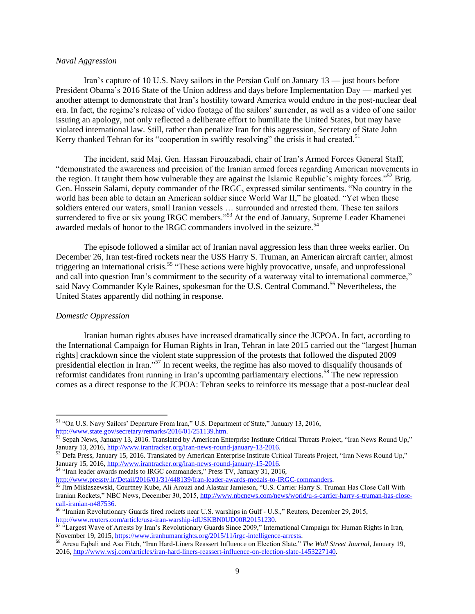## *Naval Aggression*

Iran's capture of 10 U.S. Navy sailors in the Persian Gulf on January 13 — just hours before President Obama's 2016 State of the Union address and days before Implementation Day — marked yet another attempt to demonstrate that Iran's hostility toward America would endure in the post-nuclear deal era. In fact, the regime's release of video footage of the sailors' surrender, as well as a video of one sailor issuing an apology, not only reflected a deliberate effort to humiliate the United States, but may have violated international law. Still, rather than penalize Iran for this aggression, Secretary of State John Kerry thanked Tehran for its "cooperation in swiftly resolving" the crisis it had created.<sup>51</sup>

The incident, said Maj. Gen. Hassan Firouzabadi, chair of Iran's Armed Forces General Staff, "demonstrated the awareness and precision of the Iranian armed forces regarding American movements in the region. It taught them how vulnerable they are against the Islamic Republic's mighty forces.<sup>552</sup> Brig. Gen. Hossein Salami, deputy commander of the IRGC, expressed similar sentiments. "No country in the world has been able to detain an American soldier since World War II," he gloated. "Yet when these soldiers entered our waters, small Iranian vessels … surrounded and arrested them. These ten sailors surrendered to five or six young IRGC members."<sup>53</sup> At the end of January, Supreme Leader Khamenei awarded medals of honor to the IRGC commanders involved in the seizure.<sup>54</sup>

The episode followed a similar act of Iranian naval aggression less than three weeks earlier. On December 26, Iran test-fired rockets near the USS Harry S. Truman, an American aircraft carrier, almost triggering an international crisis.<sup>55</sup> "These actions were highly provocative, unsafe, and unprofessional and call into question Iran's commitment to the security of a waterway vital to international commerce," said Navy Commander Kyle Raines, spokesman for the U.S. Central Command.<sup>56</sup> Nevertheless, the United States apparently did nothing in response.

#### *Domestic Oppression*

 $\overline{a}$ 

Iranian human rights abuses have increased dramatically since the JCPOA. In fact, according to the International Campaign for Human Rights in Iran, Tehran in late 2015 carried out the "largest [human rights] crackdown since the violent state suppression of the protests that followed the disputed 2009 presidential election in Iran."<sup>57</sup> In recent weeks, the regime has also moved to disqualify thousands of reformist candidates from running in Iran's upcoming parliamentary elections.<sup>58</sup> The new repression comes as a direct response to the JCPOA: Tehran seeks to reinforce its message that a post-nuclear deal

<sup>54</sup> "Iran leader awards medals to IRGC commanders," Press TV, January 31, 2016,

[http://www.presstv.ir/Detail/2016/01/31/448139/Iran-leader-awards-medals-to-IRGC-commanders.](http://www.presstv.ir/Detail/2016/01/31/448139/Iran-leader-awards-medals-to-IRGC-commanders)<br>
<sup>55</sup> Lim Mildages and Commanders and Commanders.

<sup>&</sup>lt;sup>51</sup> "On U.S. Navy Sailors' Departure From Iran," U.S. Department of State," January 13, 2016, [http://www.state.gov/secretary/remarks/2016/01/251139.htm.](http://www.state.gov/secretary/remarks/2016/01/251139.htm)

 $52$  Sepah News, January 13, 2016. Translated by American Enterprise Institute Critical Threats Project, "Iran News Round Up," January 13, 2016, [http://www.irantracker.org/iran-news-round-january-13-2016.](http://www.irantracker.org/iran-news-round-january-13-2016)

 $53$  Defa Press, January 15, 2016. Translated by American Enterprise Institute Critical Threats Project, "Iran News Round Up," January 15, 2016, [http://www.irantracker.org/iran-news-round-january-15-2016.](http://www.irantracker.org/iran-news-round-january-15-2016)

<sup>55</sup> Jim Miklaszewski, Courtney Kube, Ali Arouzi and Alastair Jamieson, "U.S. Carrier Harry S. Truman Has Close Call With Iranian Rockets," NBC News, December 30, 2015, [http://www.nbcnews.com/news/world/u-s-carrier-harry-s-truman-has-close](http://www.nbcnews.com/news/world/u-s-carrier-harry-s-truman-has-close-call-iranian-n487536)[call-iranian-n487536.](http://www.nbcnews.com/news/world/u-s-carrier-harry-s-truman-has-close-call-iranian-n487536)

<sup>&</sup>lt;sup>56</sup> "Iranian Revolutionary Guards fired rockets near U.S. warships in Gulf - U.S.," Reuters, December 29, 2015, [http://www.reuters.com/article/usa-iran-warship-idUSKBN0UD00R20151230.](http://www.reuters.com/article/usa-iran-warship-idUSKBN0UD00R20151230)

 $57 \text{ }\alpha$  Largest Wave of Arrests by Iran's Revolutionary Guards Since 2009," International Campaign for Human Rights in Iran, November 19, 2015, [https://www.iranhumanrights.org/2015/11/irgc-intelligence-arrests.](https://www.iranhumanrights.org/2015/11/irgc-intelligence-arrests/)

<sup>58</sup> Aresu Eqbali and Asa Fitch, "Iran Hard-Liners Reassert Influence on Election Slate," *The Wall Street Journal*, January 19, 2016[, http://www.wsj.com/articles/iran-hard-liners-reassert-influence-on-election-slate-1453227140.](http://www.wsj.com/articles/iran-hard-liners-reassert-influence-on-election-slate-1453227140)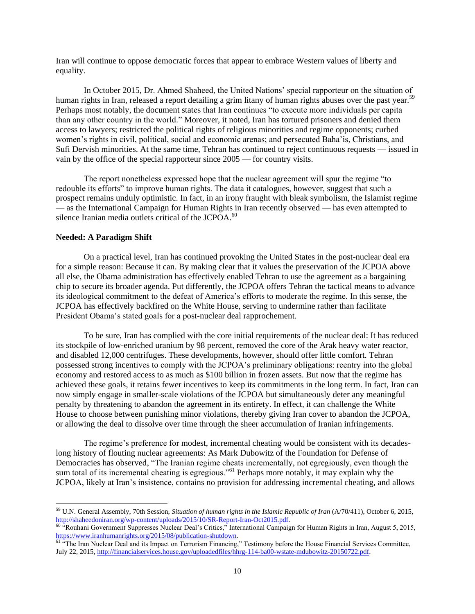Iran will continue to oppose democratic forces that appear to embrace Western values of liberty and equality.

In October 2015, Dr. Ahmed Shaheed, the United Nations' special rapporteur on the situation of human rights in Iran, released a report detailing a grim litany of human rights abuses over the past year.<sup>59</sup> Perhaps most notably, the document states that Iran continues "to execute more individuals per capita than any other country in the world." Moreover, it noted, Iran has tortured prisoners and denied them access to lawyers; restricted the political rights of religious minorities and regime opponents; curbed women's rights in civil, political, social and economic arenas; and persecuted Baha'is, Christians, and Sufi Dervish minorities. At the same time, Tehran has continued to reject continuous requests — issued in vain by the office of the special rapporteur since 2005 — for country visits.

The report nonetheless expressed hope that the nuclear agreement will spur the regime "to redouble its efforts" to improve human rights. The data it catalogues, however, suggest that such a prospect remains unduly optimistic. In fact, in an irony fraught with bleak symbolism, the Islamist regime — as the International Campaign for Human Rights in Iran recently observed — has even attempted to silence Iranian media outlets critical of the JCPOA.<sup>60</sup>

#### **Needed: A Paradigm Shift**

 $\overline{a}$ 

On a practical level, Iran has continued provoking the United States in the post-nuclear deal era for a simple reason: Because it can. By making clear that it values the preservation of the JCPOA above all else, the Obama administration has effectively enabled Tehran to use the agreement as a bargaining chip to secure its broader agenda. Put differently, the JCPOA offers Tehran the tactical means to advance its ideological commitment to the defeat of America's efforts to moderate the regime. In this sense, the JCPOA has effectively backfired on the White House, serving to undermine rather than facilitate President Obama's stated goals for a post-nuclear deal rapprochement.

To be sure, Iran has complied with the core initial requirements of the nuclear deal: It has reduced its stockpile of low-enriched uranium by 98 percent, removed the core of the Arak heavy water reactor, and disabled 12,000 centrifuges. These developments, however, should offer little comfort. Tehran possessed strong incentives to comply with the JCPOA's preliminary obligations: reentry into the global economy and restored access to as much as \$100 billion in frozen assets. But now that the regime has achieved these goals, it retains fewer incentives to keep its commitments in the long term. In fact, Iran can now simply engage in smaller-scale violations of the JCPOA but simultaneously deter any meaningful penalty by threatening to abandon the agreement in its entirety. In effect, it can challenge the White House to choose between punishing minor violations, thereby giving Iran cover to abandon the JCPOA, or allowing the deal to dissolve over time through the sheer accumulation of Iranian infringements.

The regime's preference for modest, incremental cheating would be consistent with its decadeslong history of flouting nuclear agreements: As Mark Dubowitz of the Foundation for Defense of Democracies has observed, "The Iranian regime cheats incrementally, not egregiously, even though the sum total of its incremental cheating is egregious."<sup>61</sup> Perhaps more notably, it may explain why the JCPOA, likely at Iran's insistence, contains no provision for addressing incremental cheating, and allows

<sup>59</sup> U.N. General Assembly, 70th Session, *Situation of human rights in the Islamic Republic of Iran* (A/70/411), October 6, 2015, [http://shaheedoniran.org/wp-content/uploads/2015/10/SR-Report-Iran-Oct2015.pdf.](http://shaheedoniran.org/wp-content/uploads/2015/10/SR-Report-Iran-Oct2015.pdf)

 $60$  "Rouhani Government Suppresses Nuclear Deal's Critics," International Campaign for Human Rights in Iran, August 5, 2015, [https://www.iranhumanrights.org/2015/08/publication-shutdown.](https://www.iranhumanrights.org/2015/08/publication-shutdown/)

<sup>&</sup>lt;sup>61</sup> "The Iran Nuclear Deal and its Impact on Terrorism Financing," Testimony before the House Financial Services Committee, July 22, 2015, [http://financialservices.house.gov/uploadedfiles/hhrg-114-ba00-wstate-mdubowitz-20150722.pdf.](http://financialservices.house.gov/uploadedfiles/hhrg-114-ba00-wstate-mdubowitz-20150722.pdf)